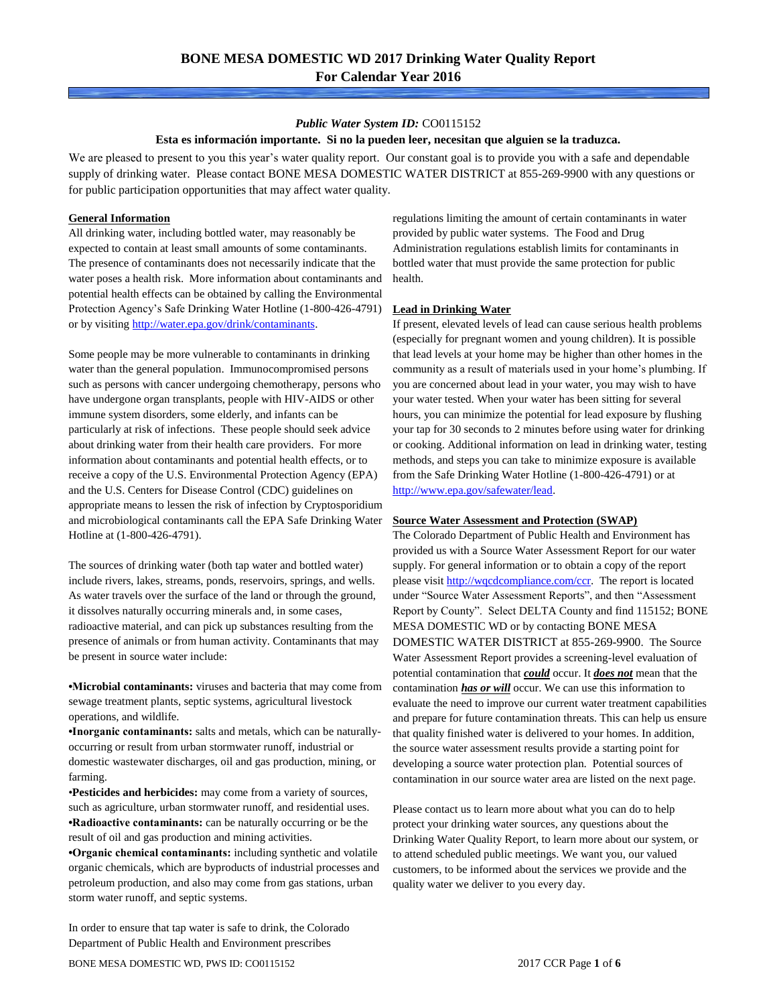## *Public Water System ID:* CO0115152

## **Esta es información importante. Si no la pueden leer, necesitan que alguien se la traduzca.**

We are pleased to present to you this year's water quality report. Our constant goal is to provide you with a safe and dependable supply of drinking water. Please contact BONE MESA DOMESTIC WATER DISTRICT at 855-269-9900 with any questions or for public participation opportunities that may affect water quality.

## **General Information**

All drinking water, including bottled water, may reasonably be expected to contain at least small amounts of some contaminants. The presence of contaminants does not necessarily indicate that the water poses a health risk. More information about contaminants and potential health effects can be obtained by calling the Environmental Protection Agency's Safe Drinking Water Hotline (1-800-426-4791) or by visiting [http://water.epa.gov/drink/contaminants.](http://water.epa.gov/drink/contaminants)

Some people may be more vulnerable to contaminants in drinking water than the general population. Immunocompromised persons such as persons with cancer undergoing chemotherapy, persons who have undergone organ transplants, people with HIV-AIDS or other immune system disorders, some elderly, and infants can be particularly at risk of infections. These people should seek advice about drinking water from their health care providers. For more information about contaminants and potential health effects, or to receive a copy of the U.S. Environmental Protection Agency (EPA) and the U.S. Centers for Disease Control (CDC) guidelines on appropriate means to lessen the risk of infection by Cryptosporidium and microbiological contaminants call the EPA Safe Drinking Water Hotline at (1-800-426-4791).

The sources of drinking water (both tap water and bottled water) include rivers, lakes, streams, ponds, reservoirs, springs, and wells. As water travels over the surface of the land or through the ground, it dissolves naturally occurring minerals and, in some cases, radioactive material, and can pick up substances resulting from the presence of animals or from human activity. Contaminants that may be present in source water include:

**•Microbial contaminants:** viruses and bacteria that may come from sewage treatment plants, septic systems, agricultural livestock operations, and wildlife.

**•Inorganic contaminants:** salts and metals, which can be naturallyoccurring or result from urban stormwater runoff, industrial or domestic wastewater discharges, oil and gas production, mining, or farming.

•**Pesticides and herbicides:** may come from a variety of sources, such as agriculture, urban stormwater runoff, and residential uses. **•Radioactive contaminants:** can be naturally occurring or be the result of oil and gas production and mining activities.

**•Organic chemical contaminants:** including synthetic and volatile organic chemicals, which are byproducts of industrial processes and petroleum production, and also may come from gas stations, urban storm water runoff, and septic systems.

In order to ensure that tap water is safe to drink, the Colorado Department of Public Health and Environment prescribes

regulations limiting the amount of certain contaminants in water provided by public water systems. The Food and Drug Administration regulations establish limits for contaminants in bottled water that must provide the same protection for public health.

#### **Lead in Drinking Water**

If present, elevated levels of lead can cause serious health problems (especially for pregnant women and young children). It is possible that lead levels at your home may be higher than other homes in the community as a result of materials used in your home's plumbing. If you are concerned about lead in your water, you may wish to have your water tested. When your water has been sitting for several hours, you can minimize the potential for lead exposure by flushing your tap for 30 seconds to 2 minutes before using water for drinking or cooking. Additional information on lead in drinking water, testing methods, and steps you can take to minimize exposure is available from the Safe Drinking Water Hotline (1-800-426-4791) or at [http://www.epa.gov/safewater/lead.](http://www.epa.gov/safewater/lead) 

#### **Source Water Assessment and Protection (SWAP)**

The Colorado Department of Public Health and Environment has provided us with a Source Water Assessment Report for our water supply. For general information or to obtain a copy of the report please visit [http://wqcdcompliance.com/ccr.](http://wqcdcompliance.com/ccr) The report is located under "Source Water Assessment Reports", and then "Assessment Report by County". Select DELTA County and find 115152; BONE MESA DOMESTIC WD or by contacting BONE MESA DOMESTIC WATER DISTRICT at 855-269-9900. The Source Water Assessment Report provides a screening-level evaluation of potential contamination that *could* occur. It *does not* mean that the contamination *has or will* occur. We can use this information to evaluate the need to improve our current water treatment capabilities and prepare for future contamination threats. This can help us ensure that quality finished water is delivered to your homes. In addition, the source water assessment results provide a starting point for developing a source water protection plan. Potential sources of contamination in our source water area are listed on the next page.

Please contact us to learn more about what you can do to help protect your drinking water sources, any questions about the Drinking Water Quality Report, to learn more about our system, or to attend scheduled public meetings. We want you, our valued customers, to be informed about the services we provide and the quality water we deliver to you every day.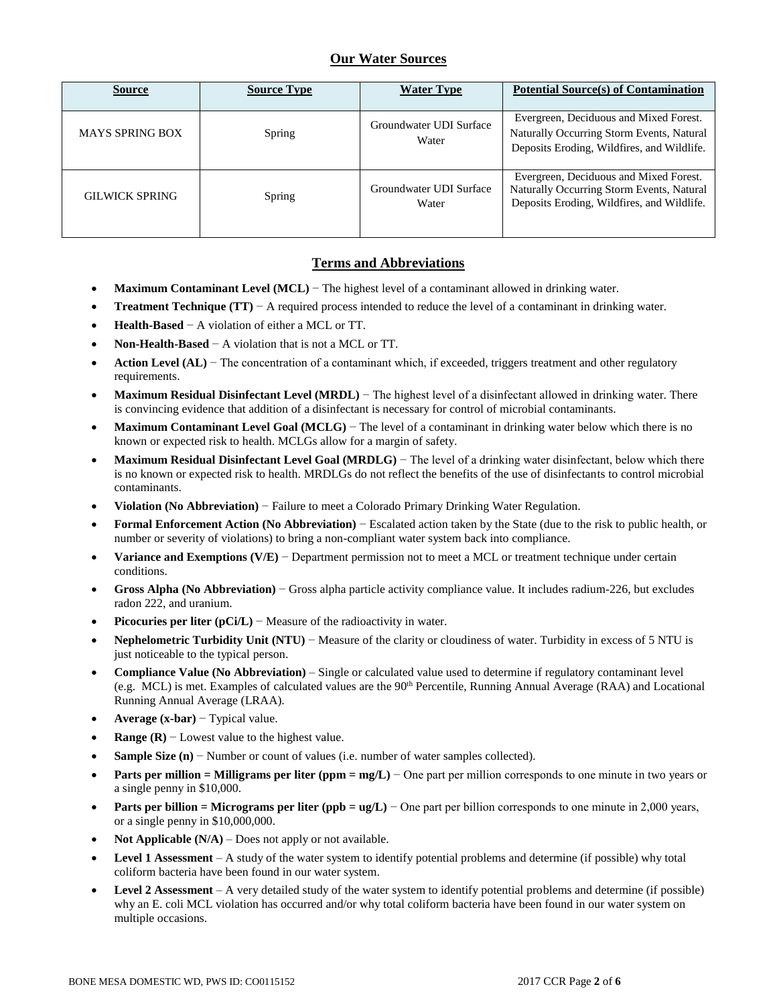# **Our Water Sources**

| <b>Source</b>          | <b>Source Type</b> | <b>Water Type</b>                | <b>Potential Source(s) of Contamination</b>                                                                                       |
|------------------------|--------------------|----------------------------------|-----------------------------------------------------------------------------------------------------------------------------------|
| <b>MAYS SPRING BOX</b> | Spring             | Groundwater UDI Surface<br>Water | Evergreen, Deciduous and Mixed Forest.<br>Naturally Occurring Storm Events, Natural<br>Deposits Eroding, Wildfires, and Wildlife. |
| <b>GILWICK SPRING</b>  | Spring             | Groundwater UDI Surface<br>Water | Evergreen, Deciduous and Mixed Forest.<br>Naturally Occurring Storm Events, Natural<br>Deposits Eroding, Wildfires, and Wildlife. |

# **Terms and Abbreviations**

- **Maximum Contaminant Level (MCL)** − The highest level of a contaminant allowed in drinking water.
- **Treatment Technique (TT)** − A required process intended to reduce the level of a contaminant in drinking water.
- **Health-Based** − A violation of either a MCL or TT.
- **Non-Health-Based** − A violation that is not a MCL or TT.
- **Action Level (AL)** − The concentration of a contaminant which, if exceeded, triggers treatment and other regulatory requirements.
- **Maximum Residual Disinfectant Level (MRDL)** − The highest level of a disinfectant allowed in drinking water. There is convincing evidence that addition of a disinfectant is necessary for control of microbial contaminants.
- **Maximum Contaminant Level Goal (MCLG)** − The level of a contaminant in drinking water below which there is no known or expected risk to health. MCLGs allow for a margin of safety.
- **Maximum Residual Disinfectant Level Goal (MRDLG)** − The level of a drinking water disinfectant, below which there is no known or expected risk to health. MRDLGs do not reflect the benefits of the use of disinfectants to control microbial contaminants.
- **Violation (No Abbreviation)** − Failure to meet a Colorado Primary Drinking Water Regulation.
- **Formal Enforcement Action (No Abbreviation)** − Escalated action taken by the State (due to the risk to public health, or number or severity of violations) to bring a non-compliant water system back into compliance.
- **Variance and Exemptions (V/E)** − Department permission not to meet a MCL or treatment technique under certain conditions.
- **Gross Alpha (No Abbreviation)** − Gross alpha particle activity compliance value. It includes radium-226, but excludes radon 222, and uranium.
- **Picocuries per liter (pCi/L)** − Measure of the radioactivity in water.
- **Nephelometric Turbidity Unit (NTU)** − Measure of the clarity or cloudiness of water. Turbidity in excess of 5 NTU is just noticeable to the typical person.
- **Compliance Value (No Abbreviation)** Single or calculated value used to determine if regulatory contaminant level (e.g. MCL) is met. Examples of calculated values are the 90<sup>th</sup> Percentile, Running Annual Average (RAA) and Locational Running Annual Average (LRAA).
- **Average (x-bar)** − Typical value.
- **Range (R)**  $-$  Lowest value to the highest value.
- **Sample Size (n)** − Number or count of values (i.e. number of water samples collected).
- **Parts per million = Milligrams per liter (ppm = mg/L)** − One part per million corresponds to one minute in two years or a single penny in \$10,000.
- **Parts per billion = Micrograms per liter (ppb = ug/L)** − One part per billion corresponds to one minute in 2,000 years, or a single penny in \$10,000,000.
- **Not Applicable (N/A)** Does not apply or not available.
- **Level 1 Assessment** A study of the water system to identify potential problems and determine (if possible) why total coliform bacteria have been found in our water system.
- **Level 2 Assessment** A very detailed study of the water system to identify potential problems and determine (if possible) why an E. coli MCL violation has occurred and/or why total coliform bacteria have been found in our water system on multiple occasions.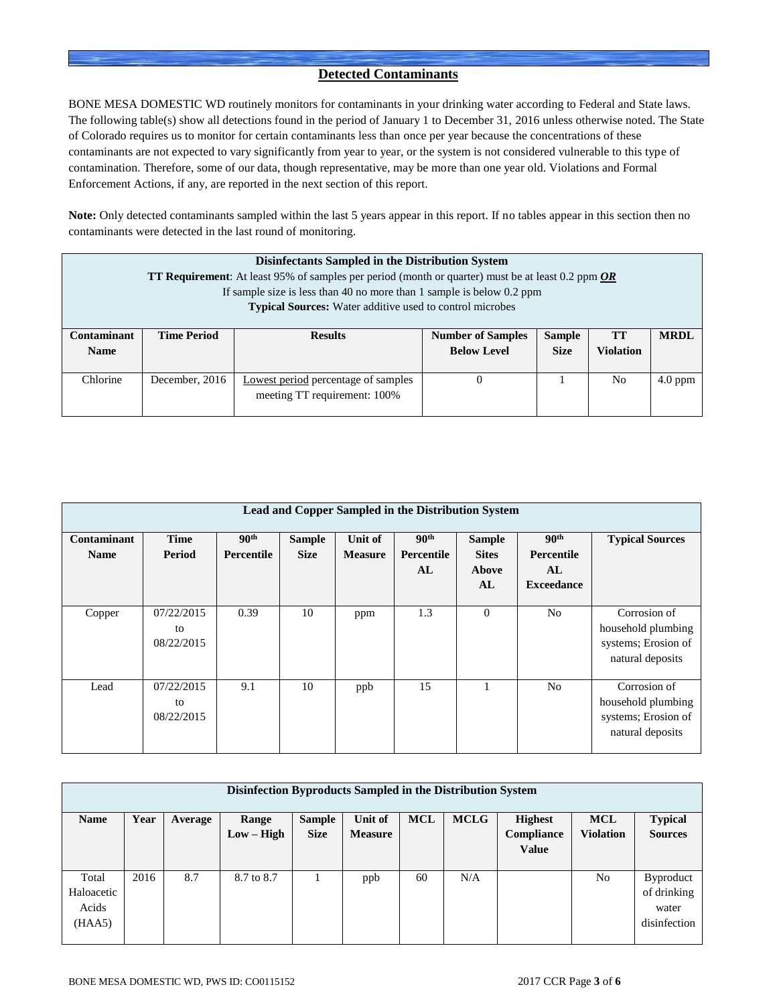## **Detected Contaminants**

BONE MESA DOMESTIC WD routinely monitors for contaminants in your drinking water according to Federal and State laws. The following table(s) show all detections found in the period of January 1 to December 31, 2016 unless otherwise noted. The State of Colorado requires us to monitor for certain contaminants less than once per year because the concentrations of these contaminants are not expected to vary significantly from year to year, or the system is not considered vulnerable to this type of contamination. Therefore, some of our data, though representative, may be more than one year old. Violations and Formal Enforcement Actions, if any, are reported in the next section of this report.

**Note:** Only detected contaminants sampled within the last 5 years appear in this report. If no tables appear in this section then no contaminants were detected in the last round of monitoring.

|                    | Disinfectants Sampled in the Distribution System<br><b>TT Requirement:</b> At least 95% of samples per period (month or quarter) must be at least 0.2 ppm $OR$ |                                                                       |                          |               |                  |             |  |  |  |
|--------------------|----------------------------------------------------------------------------------------------------------------------------------------------------------------|-----------------------------------------------------------------------|--------------------------|---------------|------------------|-------------|--|--|--|
|                    |                                                                                                                                                                | If sample size is less than 40 no more than 1 sample is below 0.2 ppm |                          |               |                  |             |  |  |  |
|                    |                                                                                                                                                                | <b>Typical Sources:</b> Water additive used to control microbes       |                          |               |                  |             |  |  |  |
|                    |                                                                                                                                                                |                                                                       |                          |               |                  |             |  |  |  |
| <b>Contaminant</b> | <b>Time Period</b>                                                                                                                                             | <b>Results</b>                                                        | <b>Number of Samples</b> | <b>Sample</b> | <b>TT</b>        | <b>MRDL</b> |  |  |  |
| <b>Name</b>        |                                                                                                                                                                |                                                                       | <b>Below Level</b>       | <b>Size</b>   | <b>Violation</b> |             |  |  |  |
|                    |                                                                                                                                                                |                                                                       |                          |               |                  |             |  |  |  |
|                    | Chlorine<br>December, 2016<br>Lowest period percentage of samples<br>No<br>$4.0$ ppm                                                                           |                                                                       |                          |               |                  |             |  |  |  |
|                    | meeting TT requirement: 100%                                                                                                                                   |                                                                       |                          |               |                  |             |  |  |  |
|                    |                                                                                                                                                                |                                                                       |                          |               |                  |             |  |  |  |

| Lead and Copper Sampled in the Distribution System |                                |                                       |                              |                           |                                      |                                              |                                                           |                                                                               |
|----------------------------------------------------|--------------------------------|---------------------------------------|------------------------------|---------------------------|--------------------------------------|----------------------------------------------|-----------------------------------------------------------|-------------------------------------------------------------------------------|
| Contaminant<br><b>Name</b>                         | <b>Time</b><br>Period          | 90 <sup>th</sup><br><b>Percentile</b> | <b>Sample</b><br><b>Size</b> | Unit of<br><b>Measure</b> | 90 <sup>th</sup><br>Percentile<br>AL | <b>Sample</b><br><b>Sites</b><br>Above<br>AL | 90 <sup>th</sup><br>Percentile<br>AL<br><b>Exceedance</b> | <b>Typical Sources</b>                                                        |
| Copper                                             | 07/22/2015<br>to<br>08/22/2015 | 0.39                                  | 10                           | ppm                       | 1.3                                  | $\mathbf{0}$                                 | N <sub>0</sub>                                            | Corrosion of<br>household plumbing<br>systems; Erosion of<br>natural deposits |
| Lead                                               | 07/22/2015<br>to<br>08/22/2015 | 9.1                                   | 10                           | ppb                       | 15                                   |                                              | N <sub>0</sub>                                            | Corrosion of<br>household plumbing<br>systems; Erosion of<br>natural deposits |

| Disinfection Byproducts Sampled in the Distribution System |      |         |              |               |                |            |             |                |                  |                  |
|------------------------------------------------------------|------|---------|--------------|---------------|----------------|------------|-------------|----------------|------------------|------------------|
| <b>Name</b>                                                | Year | Average | Range        | <b>Sample</b> | Unit of        | <b>MCL</b> | <b>MCLG</b> | <b>Highest</b> | <b>MCL</b>       | <b>Typical</b>   |
|                                                            |      |         | $Low - High$ | <b>Size</b>   | <b>Measure</b> |            |             | Compliance     | <b>Violation</b> | <b>Sources</b>   |
|                                                            |      |         |              |               |                |            |             | <b>Value</b>   |                  |                  |
|                                                            |      |         |              |               |                |            |             |                |                  |                  |
| Total                                                      | 2016 | 8.7     | 8.7 to 8.7   |               | ppb            | 60         | N/A         |                | N <sub>o</sub>   | <b>Byproduct</b> |
| Haloacetic                                                 |      |         |              |               |                |            |             |                |                  | of drinking      |
| Acids                                                      |      |         |              |               |                |            |             |                |                  | water            |
| (HAA5)                                                     |      |         |              |               |                |            |             |                |                  | disinfection     |
|                                                            |      |         |              |               |                |            |             |                |                  |                  |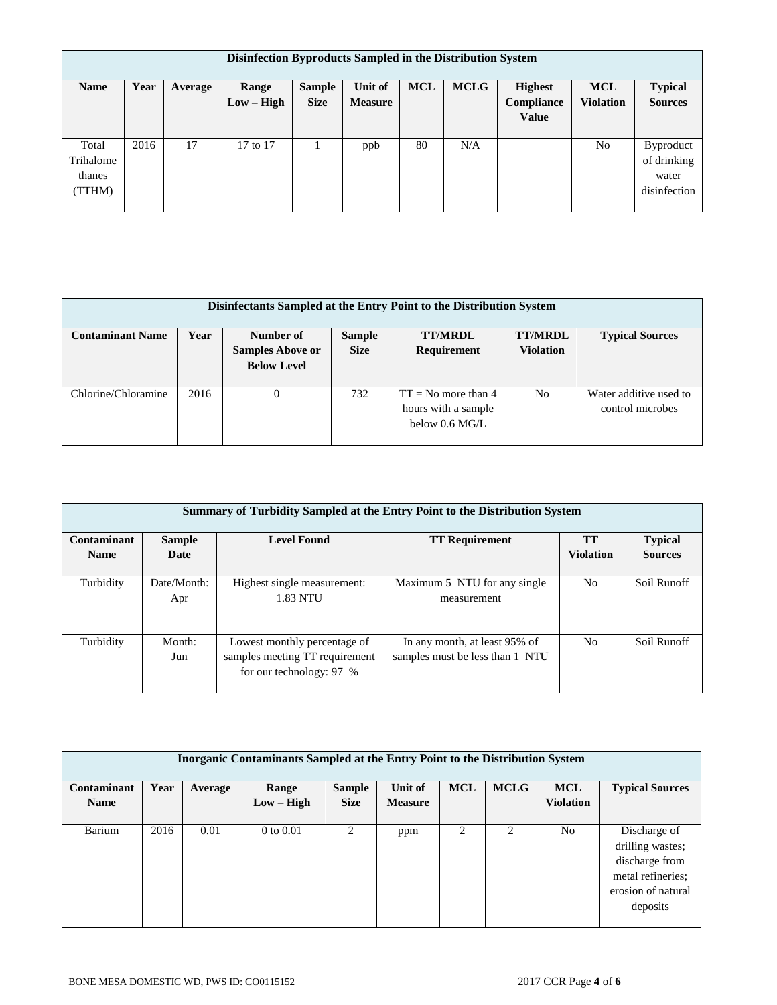|             | Disinfection Byproducts Sampled in the Distribution System |         |              |               |                |            |             |                |                  |                  |
|-------------|------------------------------------------------------------|---------|--------------|---------------|----------------|------------|-------------|----------------|------------------|------------------|
| <b>Name</b> | Year                                                       | Average | Range        | <b>Sample</b> | Unit of        | <b>MCL</b> | <b>MCLG</b> | <b>Highest</b> | <b>MCL</b>       | <b>Typical</b>   |
|             |                                                            |         | $Low - High$ | <b>Size</b>   | <b>Measure</b> |            |             | Compliance     | <b>Violation</b> | <b>Sources</b>   |
|             |                                                            |         |              |               |                |            |             | <b>Value</b>   |                  |                  |
|             |                                                            |         |              |               |                |            |             |                |                  |                  |
| Total       | 2016                                                       | 17      | 17 to 17     |               | ppb            | 80         | N/A         |                | No               | <b>Byproduct</b> |
| Trihalome   |                                                            |         |              |               |                |            |             |                |                  | of drinking      |
| thanes      |                                                            |         |              |               |                |            |             |                |                  | water            |
| TTHM)       |                                                            |         |              |               |                |            |             |                |                  | disinfection     |
|             |                                                            |         |              |               |                |            |             |                |                  |                  |

| Disinfectants Sampled at the Entry Point to the Distribution System |      |                         |               |                                              |                  |                                            |  |  |  |
|---------------------------------------------------------------------|------|-------------------------|---------------|----------------------------------------------|------------------|--------------------------------------------|--|--|--|
| <b>Contaminant Name</b>                                             | Year | Number of               | <b>Sample</b> | <b>TT/MRDL</b>                               | <b>TT/MRDL</b>   | <b>Typical Sources</b>                     |  |  |  |
|                                                                     |      | <b>Samples Above or</b> | <b>Size</b>   | Requirement                                  | <b>Violation</b> |                                            |  |  |  |
|                                                                     |      | <b>Below Level</b>      |               |                                              |                  |                                            |  |  |  |
| Chlorine/Chloramine                                                 | 2016 | 0                       | 732           | $TT = No$ more than 4<br>hours with a sample | No               | Water additive used to<br>control microbes |  |  |  |
|                                                                     |      |                         |               | below 0.6 MG/L                               |                  |                                            |  |  |  |

|             | Summary of Turbidity Sampled at the Entry Point to the Distribution System |                                |                                 |                  |                |  |  |  |  |
|-------------|----------------------------------------------------------------------------|--------------------------------|---------------------------------|------------------|----------------|--|--|--|--|
| Contaminant | <b>TT</b><br><b>Level Found</b><br><b>TT Requirement</b><br><b>Sample</b>  |                                |                                 |                  |                |  |  |  |  |
| <b>Name</b> | Date                                                                       |                                |                                 | <b>Violation</b> | <b>Sources</b> |  |  |  |  |
|             |                                                                            |                                |                                 |                  |                |  |  |  |  |
| Turbidity   | Date/Month:                                                                | Highest single measurement:    | Maximum 5 NTU for any single    | N <sub>0</sub>   | Soil Runoff    |  |  |  |  |
|             | Apr                                                                        | <b>1.83 NTU</b>                | measurement                     |                  |                |  |  |  |  |
|             |                                                                            |                                |                                 |                  |                |  |  |  |  |
|             |                                                                            |                                |                                 |                  |                |  |  |  |  |
| Turbidity   | Month:                                                                     | Lowest monthly percentage of   | In any month, at least 95% of   | N <sub>0</sub>   | Soil Runoff    |  |  |  |  |
|             | Jun                                                                        | samples meeting TT requirement | samples must be less than 1 NTU |                  |                |  |  |  |  |
|             |                                                                            | for our technology: 97 %       |                                 |                  |                |  |  |  |  |
|             |                                                                            |                                |                                 |                  |                |  |  |  |  |

| Inorganic Contaminants Sampled at the Entry Point to the Distribution System |      |         |               |                |                |            |                |                  |                                                                                                           |
|------------------------------------------------------------------------------|------|---------|---------------|----------------|----------------|------------|----------------|------------------|-----------------------------------------------------------------------------------------------------------|
| Contaminant                                                                  | Year | Average | Range         | <b>Sample</b>  | Unit of        | <b>MCL</b> | <b>MCLG</b>    | <b>MCL</b>       | <b>Typical Sources</b>                                                                                    |
| <b>Name</b>                                                                  |      |         | $Low - High$  | <b>Size</b>    | <b>Measure</b> |            |                | <b>Violation</b> |                                                                                                           |
| Barium                                                                       | 2016 | 0.01    | $0$ to $0.01$ | $\mathfrak{D}$ | ppm            | 2          | $\overline{c}$ | N <sub>o</sub>   | Discharge of<br>drilling wastes;<br>discharge from<br>metal refineries;<br>erosion of natural<br>deposits |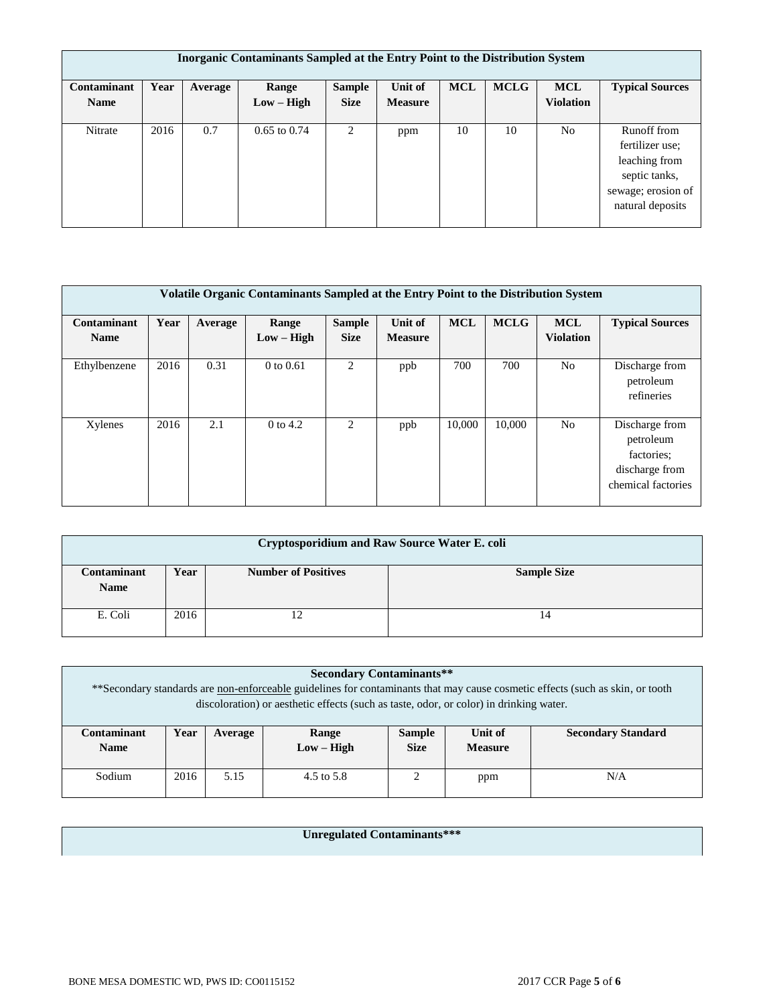| Inorganic Contaminants Sampled at the Entry Point to the Distribution System |      |         |                  |               |                |            |             |                  |                                                                                        |
|------------------------------------------------------------------------------|------|---------|------------------|---------------|----------------|------------|-------------|------------------|----------------------------------------------------------------------------------------|
| Contaminant                                                                  | Year | Average | Range            | <b>Sample</b> | Unit of        | <b>MCL</b> | <b>MCLG</b> | <b>MCL</b>       | <b>Typical Sources</b>                                                                 |
| <b>Name</b>                                                                  |      |         | $Low - High$     | <b>Size</b>   | <b>Measure</b> |            |             | <b>Violation</b> |                                                                                        |
| Nitrate                                                                      | 2016 | 0.7     | $0.65$ to $0.74$ | 2             | ppm            | 10         | 10          | N <sub>o</sub>   | Runoff from<br>fertilizer use:<br>leaching from<br>septic tanks,<br>sewage; erosion of |
|                                                                              |      |         |                  |               |                |            |             |                  | natural deposits                                                                       |

|                                   | Volatile Organic Contaminants Sampled at the Entry Point to the Distribution System |         |                       |                              |                           |            |             |                                |                                                                                   |
|-----------------------------------|-------------------------------------------------------------------------------------|---------|-----------------------|------------------------------|---------------------------|------------|-------------|--------------------------------|-----------------------------------------------------------------------------------|
| <b>Contaminant</b><br><b>Name</b> | Year                                                                                | Average | Range<br>$Low - High$ | <b>Sample</b><br><b>Size</b> | Unit of<br><b>Measure</b> | <b>MCL</b> | <b>MCLG</b> | <b>MCL</b><br><b>Violation</b> | <b>Typical Sources</b>                                                            |
| Ethylbenzene                      | 2016                                                                                | 0.31    | $0$ to $0.61$         | 2                            | ppb                       | 700        | 700         | N <sub>o</sub>                 | Discharge from<br>petroleum<br>refineries                                         |
| Xylenes                           | 2016                                                                                | 2.1     | $0$ to 4.2            | 2                            | ppb                       | 10,000     | 10,000      | N <sub>o</sub>                 | Discharge from<br>petroleum<br>factories:<br>discharge from<br>chemical factories |

| Cryptosporidium and Raw Source Water E. coli |            |                            |                    |  |  |  |  |  |  |  |
|----------------------------------------------|------------|----------------------------|--------------------|--|--|--|--|--|--|--|
| Contaminant<br><b>Name</b>                   | Year       | <b>Number of Positives</b> | <b>Sample Size</b> |  |  |  |  |  |  |  |
| E. Coli                                      | 2016<br>14 |                            |                    |  |  |  |  |  |  |  |

|                            | <b>Secondary Contaminants**</b><br>**Secondary standards are non-enforceable guidelines for contaminants that may cause cosmetic effects (such as skin, or tooth<br>discoloration) or aesthetic effects (such as taste, odor, or color) in drinking water. |      |            |  |     |     |  |  |
|----------------------------|------------------------------------------------------------------------------------------------------------------------------------------------------------------------------------------------------------------------------------------------------------|------|------------|--|-----|-----|--|--|
| Contaminant<br><b>Name</b> | Year<br>Unit of<br><b>Secondary Standard</b><br><b>Sample</b><br>Range<br>Average<br>$Low - High$<br><b>Size</b><br><b>Measure</b>                                                                                                                         |      |            |  |     |     |  |  |
| Sodium                     | 2016                                                                                                                                                                                                                                                       | 5.15 | 4.5 to 5.8 |  | ppm | N/A |  |  |

**Unregulated Contaminants\*\*\***